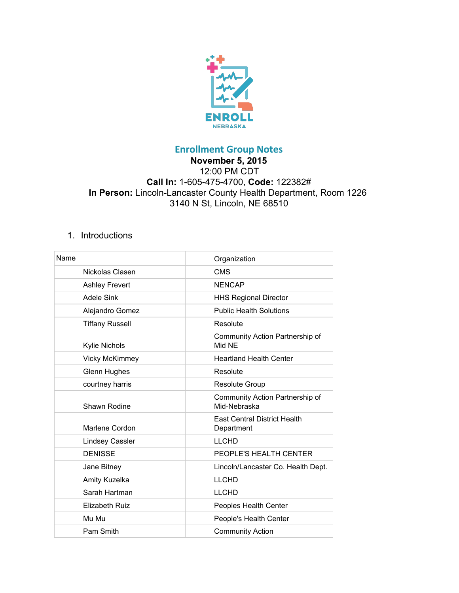

## **Enrollment Group Notes**

## **November 5, 2015** 12:00 PM CDT **Call In:**16054754700, **Code:**122382# **In Person:** Lincoln-Lancaster County Health Department, Room 1226 3140 N St, Lincoln, NE 68510

## 1. Introductions

| Name                   | Organization                                      |
|------------------------|---------------------------------------------------|
| Nickolas Clasen        | <b>CMS</b>                                        |
| <b>Ashley Frevert</b>  | <b>NENCAP</b>                                     |
| <b>Adele Sink</b>      | <b>HHS Regional Director</b>                      |
| Alejandro Gomez        | <b>Public Health Solutions</b>                    |
| <b>Tiffany Russell</b> | Resolute                                          |
| Kylie Nichols          | Community Action Partnership of<br>Mid NF         |
| <b>Vicky McKimmey</b>  | <b>Heartland Health Center</b>                    |
| <b>Glenn Hughes</b>    | Resolute                                          |
| courtney harris        | <b>Resolute Group</b>                             |
| <b>Shawn Rodine</b>    | Community Action Partnership of<br>Mid-Nebraska   |
| Marlene Cordon         | <b>East Central District Health</b><br>Department |
| <b>Lindsey Cassler</b> | <b>LLCHD</b>                                      |
| <b>DENISSE</b>         | PEOPLE'S HEALTH CENTER                            |
| Jane Bitney            | Lincoln/Lancaster Co. Health Dept.                |
| Amity Kuzelka          | <b>LLCHD</b>                                      |
| Sarah Hartman          | <b>LLCHD</b>                                      |
| <b>Elizabeth Ruiz</b>  | Peoples Health Center                             |
| Mu Mu                  | People's Health Center                            |
| Pam Smith              | <b>Community Action</b>                           |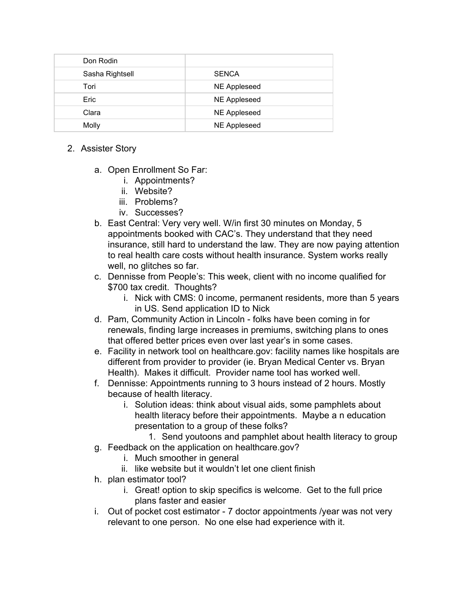| Don Rodin       |                     |
|-----------------|---------------------|
| Sasha Rightsell | <b>SENCA</b>        |
| Tori            | <b>NE Appleseed</b> |
| Eric            | <b>NE Appleseed</b> |
| Clara           | <b>NE Appleseed</b> |
| Molly           | <b>NE Appleseed</b> |

- 2. Assister Story
	- a. Open Enrollment So Far:
		- i. Appointments?
		- ii. Website?
		- iii. Problems?
		- iv. Successes?
	- b. East Central: Very very well. W/in first 30 minutes on Monday, 5 appointments booked with CAC's. They understand that they need insurance, still hard to understand the law. They are now paying attention to real health care costs without health insurance. System works really well, no glitches so far.
	- c. Dennisse from People's: This week, client with no income qualified for \$700 tax credit. Thoughts?
		- i. Nick with CMS: 0 income, permanent residents, more than 5 years in US. Send application ID to Nick
	- d. Pam, Community Action in Lincoln folks have been coming in for renewals, finding large increases in premiums, switching plans to ones that offered better prices even over last year's in some cases.
	- e. Facility in network tool on healthcare.gov: facility names like hospitals are different from provider to provider (ie. Bryan Medical Center vs. Bryan Health). Makes it difficult. Provider name tool has worked well.
	- f. Dennisse: Appointments running to 3 hours instead of 2 hours. Mostly because of health literacy.
		- i. Solution ideas: think about visual aids, some pamphlets about health literacy before their appointments. Maybe a n education presentation to a group of these folks?
	- 1. Send youtoons and pamphlet about health literacy to group g. Feedback on the application on healthcare.gov?
		- i. Much smoother in general
		- ii. like website but it wouldn't let one client finish
	- h. plan estimator tool?
		- i. Great! option to skip specifics is welcome. Get to the full price plans faster and easier
	- i. Out of pocket cost estimator  $-7$  doctor appointments /year was not very relevant to one person. No one else had experience with it.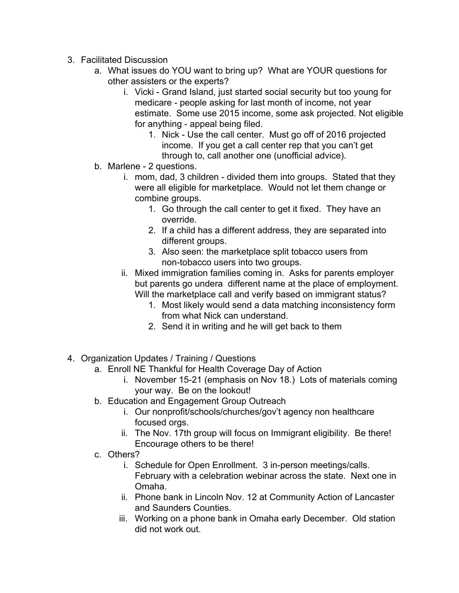- 3. Facilitated Discussion
	- a. What issues do YOU want to bring up? What are YOUR questions for other assisters or the experts?
		- i. Vicki Grand Island, just started social security but too young for medicare - people asking for last month of income, not year estimate. Some use 2015 income, some ask projected. Not eligible for anything - appeal being filed.
			- 1. Nick Use the call center. Must go off of 2016 projected income. If you get a call center rep that you can't get through to, call another one (unofficial advice).
	- b. Marlene 2 questions.
		- i. mom, dad, 3 children divided them into groups. Stated that they were all eligible for marketplace. Would not let them change or combine groups.
			- 1. Go through the call center to get it fixed. They have an override.
			- 2. If a child has a different address, they are separated into different groups.
			- 3. Also seen: the marketplace split tobacco users from non-tobacco users into two groups.
		- ii. Mixed immigration families coming in. Asks for parents employer but parents go undera different name at the place of employment. Will the marketplace call and verify based on immigrant status?
			- 1. Most likely would send a data matching inconsistency form from what Nick can understand.
			- 2. Send it in writing and he will get back to them
- 4. Organization Updates / Training / Questions
	- a. Enroll NE Thankful for Health Coverage Day of Action
		- i. November 15-21 (emphasis on Nov 18.) Lots of materials coming your way. Be on the lookout!
	- b. Education and Engagement Group Outreach
		- i. Our nonprofit/schools/churches/gov't agency non healthcare focused orgs.
		- ii. The Nov. 17th group will focus on Immigrant eligibility. Be there! Encourage others to be there!
	- c. Others?
		- i. Schedule for Open Enrollment. 3 in-person meetings/calls. February with a celebration webinar across the state. Next one in Omaha.
		- ii. Phone bank in Lincoln Nov. 12 at Community Action of Lancaster and Saunders Counties.
		- iii. Working on a phone bank in Omaha early December. Old station did not work out.